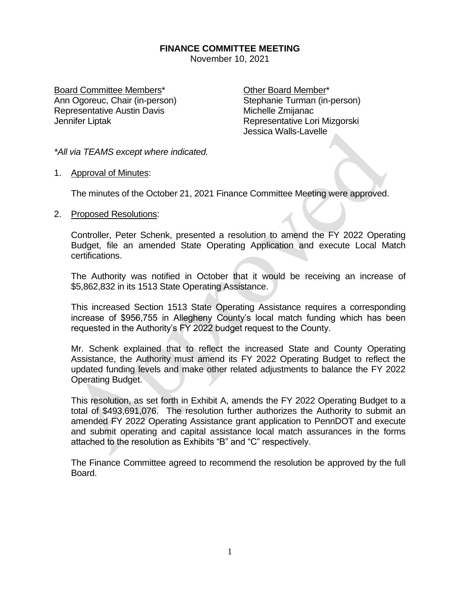## **FINANCE COMMITTEE MEETING**

November 10, 2021

Board Committee Members\* The Committee Other Board Member\* Ann Ogoreuc, Chair (in-person) Stephanie Turman (in-person) Representative Austin Davis Music Michelle Zmijanac Jennifer Liptak **Representative Lori Mizgorski** 

Jessica Walls-Lavelle

*\*All via TEAMS except where indicated.*

1. Approval of Minutes:

The minutes of the October 21, 2021 Finance Committee Meeting were approved.

## 2. Proposed Resolutions:

Controller, Peter Schenk, presented a resolution to amend the FY 2022 Operating Budget, file an amended State Operating Application and execute Local Match certifications.

The Authority was notified in October that it would be receiving an increase of \$5,862,832 in its 1513 State Operating Assistance.

This increased Section 1513 State Operating Assistance requires a corresponding increase of \$956,755 in Allegheny County's local match funding which has been requested in the Authority's FY 2022 budget request to the County.

Mr. Schenk explained that to reflect the increased State and County Operating Assistance, the Authority must amend its FY 2022 Operating Budget to reflect the updated funding levels and make other related adjustments to balance the FY 2022 Operating Budget.

This resolution, as set forth in Exhibit A, amends the FY 2022 Operating Budget to a total of \$493,691,076. The resolution further authorizes the Authority to submit an amended FY 2022 Operating Assistance grant application to PennDOT and execute and submit operating and capital assistance local match assurances in the forms attached to the resolution as Exhibits "B" and "C" respectively.

The Finance Committee agreed to recommend the resolution be approved by the full Board.